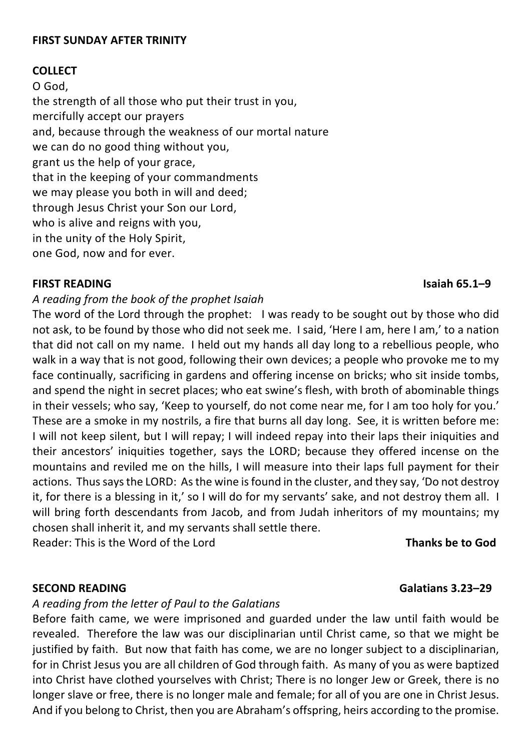## **FIRST SUNDAY AFTER TRINITY**

## **COLLECT**

O God, the strength of all those who put their trust in you, mercifully accept our prayers and, because through the weakness of our mortal nature we can do no good thing without you, grant us the help of your grace, that in the keeping of your commandments we may please you both in will and deed; through Jesus Christ your Son our Lord, who is alive and reigns with you, in the unity of the Holy Spirit, one God, now and for ever.

### **FIRST READING Isaiah 65.1–9**

*A reading from the book of the prophet Isaiah*

The word of the Lord through the prophet: I was ready to be sought out by those who did not ask, to be found by those who did not seek me. I said, 'Here I am, here I am,' to a nation that did not call on my name. I held out my hands all day long to a rebellious people, who walk in a way that is not good, following their own devices; a people who provoke me to my face continually, sacrificing in gardens and offering incense on bricks; who sit inside tombs, and spend the night in secret places; who eat swine's flesh, with broth of abominable things in their vessels; who say, 'Keep to yourself, do not come near me, for I am too holy for you.' These are a smoke in my nostrils, a fire that burns all day long. See, it is written before me: I will not keep silent, but I will repay; I will indeed repay into their laps their iniquities and their ancestors' iniquities together, says the LORD; because they offered incense on the mountains and reviled me on the hills, I will measure into their laps full payment for their actions. Thus says the LORD: As the wine is found in the cluster, and they say, 'Do not destroy it, for there is a blessing in it,' so I will do for my servants' sake, and not destroy them all. I will bring forth descendants from Jacob, and from Judah inheritors of my mountains; my chosen shall inherit it, and my servants shall settle there.

Reader: This is the Word of the Lord **Thanks be to God**

### *A reading from the letter of Paul to the Galatians*

Before faith came, we were imprisoned and guarded under the law until faith would be revealed. Therefore the law was our disciplinarian until Christ came, so that we might be justified by faith. But now that faith has come, we are no longer subject to a disciplinarian, for in Christ Jesus you are all children of God through faith. As many of you as were baptized into Christ have clothed yourselves with Christ; There is no longer Jew or Greek, there is no longer slave or free, there is no longer male and female; for all of you are one in Christ Jesus. And if you belong to Christ, then you are Abraham's offspring, heirs according to the promise.

## **SECOND READING Galatians 3.23–29**